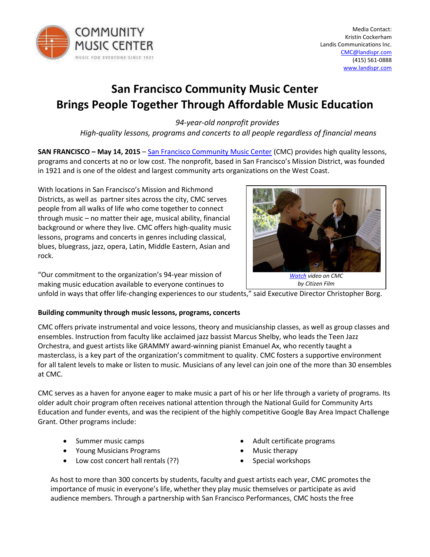

# **San Francisco Community Music Center Brings People Together Through Affordable Music Education**

*94-year-old nonprofit provides* 

 *High-quality lessons, programs and concerts to all people regardless of financial means* 

**SAN FRANCISCO – May 14, 2015 – [San Francisco Community Music Center](http://sfcmc.org/) (CMC) provides high quality lessons,** programs and concerts at no or low cost. The nonprofit, based in San Francisco's Mission District, was founded in 1921 and is one of the oldest and largest community arts organizations on the West Coast.

With locations in San Francisco's Mission and Richmond Districts, as well as partner sites across the city, CMC serves people from all walks of life who come together to connect through music  $-$  no matter their age, musical ability, financial background or where they live. CMC offers high-quality music lessons, programs and concerts in genres including classical, blues, bluegrass, jazz, opera, Latin, Middle Eastern, Asian and rock.

"Our commitment to the organization's 94-year mission of making music education available to everyone continues to



unfold in ways that offer life-changing experiences to our students," said Executive Director Christopher Borg.

## **Building community through music lessons, programs, concerts**

CMC offers private instrumental and voice lessons, theory and musicianship classes, as well as group classes and ensembles. Instruction from faculty like acclaimed jazz bassist Marcus Shelby, who leads the Teen Jazz Orchestra, and guest artists like GRAMMY award-winning pianist Emanuel Ax, who recently taught a masterclass, is a key part of the organization's commitment to quality. CMC fosters a supportive environment for all talent levels to make or listen to music. Musicians of any level can join one of the more than 30 ensembles at CMC.

CMC serves as a haven for anyone eager to make music a part of his or her life through a variety of programs. Its older adult choir program often receives national attention through the National Guild for Community Arts Education and funder events, and was the recipient of the highly competitive Google Bay Area Impact Challenge Grant. Other programs include:

- Summer music camps
- Young Musicians Programs
- Low cost concert hall rentals (??)
- Adult certificate programs
- Music therapy
- Special workshops

As host to more than 300 concerts by students, faculty and guest artists each year, CMC promotes the importance of music in everyone's life, whether they play music themselves or participate as avid audience members. Through a partnership with San Francisco Performances, CMC hosts the free